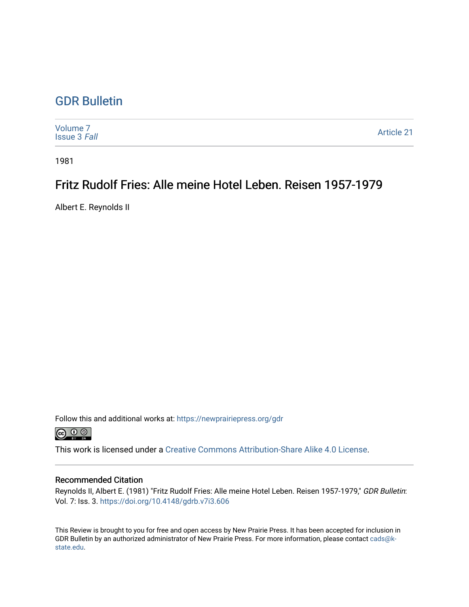## [GDR Bulletin](https://newprairiepress.org/gdr)

| Volume 7<br><b>Issue 3 Fall</b> | Article 21 |
|---------------------------------|------------|
|---------------------------------|------------|

1981

## Fritz Rudolf Fries: Alle meine Hotel Leben. Reisen 1957-1979

Albert E. Reynolds II

Follow this and additional works at: [https://newprairiepress.org/gdr](https://newprairiepress.org/gdr?utm_source=newprairiepress.org%2Fgdr%2Fvol7%2Fiss3%2F21&utm_medium=PDF&utm_campaign=PDFCoverPages) 



This work is licensed under a [Creative Commons Attribution-Share Alike 4.0 License.](https://creativecommons.org/licenses/by-sa/4.0/)

## Recommended Citation

Reynolds II, Albert E. (1981) "Fritz Rudolf Fries: Alle meine Hotel Leben. Reisen 1957-1979," GDR Bulletin: Vol. 7: Iss. 3. <https://doi.org/10.4148/gdrb.v7i3.606>

This Review is brought to you for free and open access by New Prairie Press. It has been accepted for inclusion in GDR Bulletin by an authorized administrator of New Prairie Press. For more information, please contact [cads@k](mailto:cads@k-state.edu)[state.edu](mailto:cads@k-state.edu).